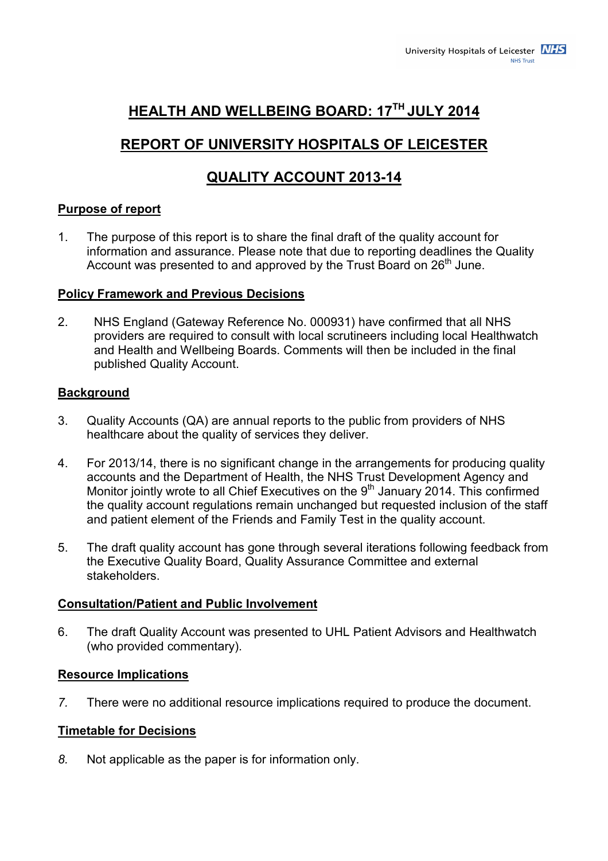# **HEALTH AND WELLBEING BOARD: 17TH JULY 2014**

# **REPORT OF UNIVERSITY HOSPITALS OF LEICESTER**

# **QUALITY ACCOUNT 2013-14**

## **Purpose of report**

1. The purpose of this report is to share the final draft of the quality account for information and assurance. Please note that due to reporting deadlines the Quality Account was presented to and approved by the Trust Board on 26<sup>th</sup> June.

#### **Policy Framework and Previous Decisions**

2. NHS England (Gateway Reference No. 000931) have confirmed that all NHS providers are required to consult with local scrutineers including local Healthwatch and Health and Wellbeing Boards. Comments will then be included in the final published Quality Account.

## **Background**

- 3. Quality Accounts (QA) are annual reports to the public from providers of NHS healthcare about the quality of services they deliver.
- 4. For 2013/14, there is no significant change in the arrangements for producing quality accounts and the Department of Health, the NHS Trust Development Agency and Monitor jointly wrote to all Chief Executives on the  $9<sup>th</sup>$  January 2014. This confirmed the quality account regulations remain unchanged but requested inclusion of the staff and patient element of the Friends and Family Test in the quality account.
- 5. The draft quality account has gone through several iterations following feedback from the Executive Quality Board, Quality Assurance Committee and external stakeholders.

#### **Consultation/Patient and Public Involvement**

6. The draft Quality Account was presented to UHL Patient Advisors and Healthwatch (who provided commentary).

#### **Resource Implications**

*7.* There were no additional resource implications required to produce the document.

## **Timetable for Decisions**

*8.* Not applicable as the paper is for information only.